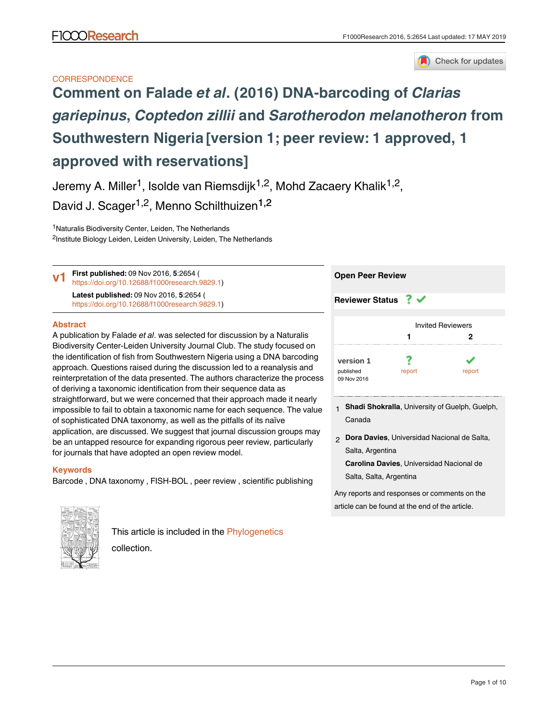

## **CORRESPONDENCE**

# **Comment on Falade** *et al***[. \(2016\) DNA-barcoding of](https://f1000research.com/articles/5-2654/v1)** *Clarias gariepinus***,** *Coptedon zillii* **and** *[Sarotherodon melanotheron](https://f1000research.com/articles/5-2654/v1)* **from [Southwestern Nigeria](https://f1000research.com/articles/5-2654/v1) [version 1; peer review: 1 approved, 1 approved with reservations]**

Jeremy A. Miller<sup>1</sup>, Isolde van Riemsdijk<sup>1,2</sup>, Mohd Zacaery Khalik<sup>1,2</sup>,

David J. Scager<sup>1,2</sup>, Menno Schilthuizen<sup>1,2</sup>

<sup>1</sup>Naturalis Biodiversity Center, Leiden, The Netherlands <sup>2</sup>Institute Biology Leiden, Leiden University, Leiden, The Netherlands

**First published:** 09 Nov 2016, **5**:2654 ( [https://doi.org/10.12688/f1000research.9829.1\)](https://doi.org/10.12688/f1000research.9829.1) **Latest published:** 09 Nov 2016, **5**:2654 ( [https://doi.org/10.12688/f1000research.9829.1\)](https://doi.org/10.12688/f1000research.9829.1) **v1**

### **Abstract**

A publication by Falade *et al*. was selected for discussion by a Naturalis Biodiversity Center-Leiden University Journal Club. The study focused on the identification of fish from Southwestern Nigeria using a DNA barcoding approach. Questions raised during the discussion led to a reanalysis and reinterpretation of the data presented. The authors characterize the process of deriving a taxonomic identification from their sequence data as straightforward, but we were concerned that their approach made it nearly impossible to fail to obtain a taxonomic name for each sequence. The value of sophisticated DNA taxonomy, as well as the pitfalls of its naïve application, are discussed. We suggest that journal discussion groups may be an untapped resource for expanding rigorous peer review, particularly for journals that have adopted an open review model.

## **Keywords**

Barcode , DNA taxonomy , FISH-BOL , peer review , scientific publishing



This article is included in the [Phylogenetics](https://f1000research.com/collections/phylogenetics) 

collection.



- **Shadi Shokralla**, University of Guelph, Guelph, 1 Canada
- **Dora Davies**, Universidad Nacional de Salta, 2 Salta, Argentina

**Carolina Davies**, Universidad Nacional de Salta, Salta, Argentina

Any reports and responses or comments on the article can be found at the end of the article.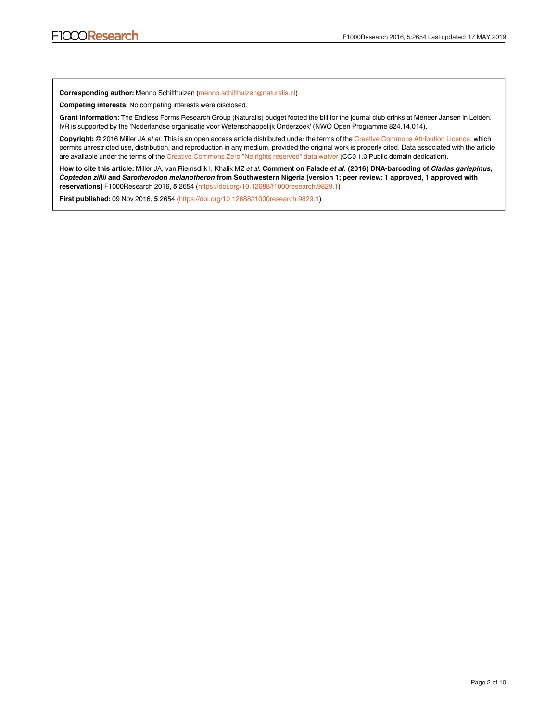**Corresponding author:** Menno Schilthuizen (menno.schilthuizen@naturalis.nl)

**Competing interests:** No competing interests were disclosed.

**Grant information:** The Endless Forms Research Group (Naturalis) budget footed the bill for the journal club drinks at Meneer Jansen in Leiden. IvR is supported by the 'Nederlandse organisatie voor Wetenschappelijk Onderzoek' (NWO Open Programme 824.14.014).

**Copyright:** © 2016 Miller JA *et al*. This is an open access article distributed under the terms of the [Creative Commons Attribution Licence](http://creativecommons.org/licenses/by/4.0/), which permits unrestricted use, distribution, and reproduction in any medium, provided the original work is properly cited. Data associated with the article are available under the terms of the [Creative Commons Zero "No rights reserved" data waiver](http://creativecommons.org/publicdomain/zero/1.0/) (CC0 1.0 Public domain dedication).

**How to cite this article:** Miller JA, van Riemsdijk I, Khalik MZ *et al.* **Comment on Falade** *et al***. (2016) DNA-barcoding of** *Clarias gariepinus***,**  *Coptedon zillii* **and** *Sarotherodon melanotheron* **from Southwestern Nigeria [version 1; peer review: 1 approved, 1 approved with reservations]** F1000Research 2016, **5**:2654 (<https://doi.org/10.12688/f1000research.9829.1>)

**First published:** 09 Nov 2016, **5**:2654 (<https://doi.org/10.12688/f1000research.9829.1>)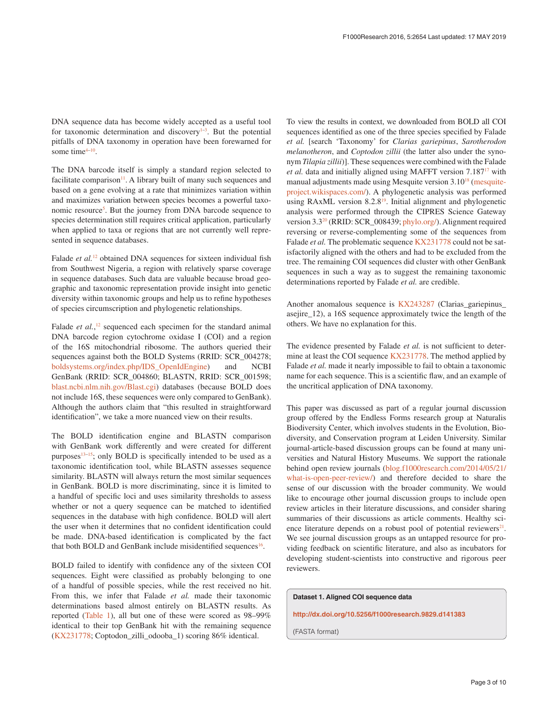DNA sequence data has become widely accepted as a useful tool for taxonomic determination and discovery $1-3$ . But the potential pitfalls of DNA taxonomy in operation have been forewarned for some time<sup>4-10</sup>.

The DNA barcode itself is simply a standard region selected to facilitate comparison $11$ . A library built of many such sequences and based on a gene evolving at a rate that minimizes variation within and maximizes variation between species becomes a powerful taxo-nomic resource<sup>[5](#page-6-0)</sup>. But the journey from DNA barcode sequence to species determination still requires critical application, particularly when applied to taxa or regions that are not currently well represented in sequence databases.

Falade *et al.*<sup>12</sup> obtained DNA sequences for sixteen individual fish from Southwest Nigeria, a region with relatively sparse coverage in sequence databases. Such data are valuable because broad geographic and taxonomic representation provide insight into genetic diversity within taxonomic groups and help us to refine hypotheses of species circumscription and phylogenetic relationships.

Falade *et al.*,<sup>[12](#page-6-0)</sup> sequenced each specimen for the standard animal DNA barcode region cytochrome oxidase I (COI) and a region of the 16S mitochondrial ribosome. The authors queried their sequences against both the BOLD Systems (RRID: SCR\_004278; [boldsystems.org/index.php/IDS\\_OpenIdEngine](http://www.boldsystems.org/index.php/IDS_OpenIdEngine)) and NCBI GenBank (RRID: SCR\_004860; BLASTN, RRID: SCR\_001598; [blast.ncbi.nlm.nih.gov/Blast.cgi](http://blast.ncbi.nlm.nih.gov/Blast.cgi)) databases (because BOLD does not include 16S, these sequences were only compared to GenBank). Although the authors claim that "this resulted in straightforward identification", we take a more nuanced view on their results.

The BOLD identification engine and BLASTN comparison with GenBank work differently and were created for different purposes<sup>13-15</sup>; only BOLD is specifically intended to be used as a taxonomic identification tool, while BLASTN assesses sequence similarity. BLASTN will always return the most similar sequences in GenBank. BOLD is more discriminating, since it is limited to a handful of specific loci and uses similarity thresholds to assess whether or not a query sequence can be matched to identified sequences in the database with high confidence. BOLD will alert the user when it determines that no confident identification could be made. DNA-based identification is complicated by the fact that both BOLD and GenBank include misidentified sequences<sup>16</sup>.

BOLD failed to identify with confidence any of the sixteen COI sequences. Eight were classified as probably belonging to one of a handful of possible species, while the rest received no hit. From this, we infer that Falade *et al.* made their taxonomic determinations based almost entirely on BLASTN results. As reported [\(Table 1](#page-3-0)), all but one of these were scored as 98–99% identical to their top GenBank hit with the remaining sequence ([KX231778;](https://www.ncbi.nlm.nih.gov/nuccore/KX231778) Coptodon\_zilli\_odooba\_1) scoring 86% identical.

To view the results in context, we downloaded from BOLD all COI sequences identified as one of the three species specified by Falade *et al.* [search 'Taxonomy' for *Clarias gariepinus*, *Sarotherodon melanotheron*, and *Coptodon zillii* (the latter also under the synonym *Tilapia zillii*)]. These sequences were combined with the Falade *et al.* data and initially aligned using MAFFT version 7.187[17](#page-6-0) with manual adjustments made using Mesquite version 3.10<sup>[18](#page-6-0)</sup> [\(mesquite](http://mesquiteproject.wikispaces.com/)[project.wikispaces.com/\)](http://mesquiteproject.wikispaces.com/). A phylogenetic analysis was performed using RAxML version 8.2.[819.](#page-6-0) Initial alignment and phylogenetic analysis were performed through the CIPRES Science Gateway version 3.3[20](#page-6-0) (RRID: SCR\_008439; [phylo.org/](https://www.phylo.org/)). Alignment required reversing or reverse-complementing some of the sequences from Falade *et al*. The problematic sequence [KX231778](https://www.ncbi.nlm.nih.gov/nuccore/KX231778) could not be satisfactorily aligned with the others and had to be excluded from the tree. The remaining COI sequences did cluster with other GenBank sequences in such a way as to suggest the remaining taxonomic determinations reported by Falade *et al.* are credible.

Another anomalous sequence is [KX243287](https://www.ncbi.nlm.nih.gov/nuccore/KX243287) (Clarias\_gariepinus\_ asejire\_12), a 16S sequence approximately twice the length of the others. We have no explanation for this.

The evidence presented by Falade et al. is not sufficient to determine at least the COI sequence [KX231778](https://www.ncbi.nlm.nih.gov/nuccore/KX231778.1?report=GenBank). The method applied by Falade *et al.* made it nearly impossible to fail to obtain a taxonomic name for each sequence. This is a scientific flaw, and an example of the uncritical application of DNA taxonomy.

This paper was discussed as part of a regular journal discussion group offered by the Endless Forms research group at Naturalis Biodiversity Center, which involves students in the Evolution, Biodiversity, and Conservation program at Leiden University. Similar journal-article-based discussion groups can be found at many universities and Natural History Museums. We support the rationale behind open review journals [\(blog.f1000research.com/2014/05/21/](http://blog.f1000research.com/2014/05/21/what-is-open-peer-review/) [what-is-open-peer-review/](http://blog.f1000research.com/2014/05/21/what-is-open-peer-review/)) and therefore decided to share the sense of our discussion with the broader community. We would like to encourage other journal discussion groups to include open review articles in their literature discussions, and consider sharing summaries of their discussions as article comments. Healthy science literature depends on a robust pool of potential reviewers $21$ . We see journal discussion groups as an untapped resource for providing feedback on scientific literature, and also as incubators for developing student-scientists into constructive and rigorous peer reviewers.

#### **Dataset 1. Aligned COI sequence data**

**<http://dx.doi.org/10.5256/f1000research.9829.d141383>**

(FASTA format)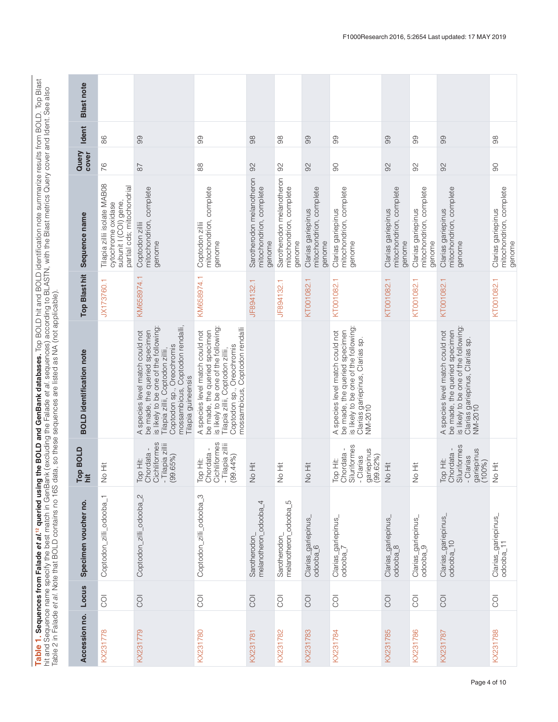<span id="page-3-0"></span>Table 1. Sequences from Falade et al.<sup>12</sup> queried using the BOLD and GenBank databases. Top BOLD hit and BOLD identification note summarize results from BOLD. Top Blast<br>hit and Sequence name specify the best match in GenBa **Table 1. Sequences from Falade et al.12 [q](#page-6-0)ueried using the BOLD and GenBank databases.** Top BOLD hit and BOLD identification note summarize results from BOLD. Top Blast hit and Sequence name specify the best match in GenBank (excluding the Falade *et al.* sequences) according to BLASTN, with the Blast metrics Query cover and Ident. See also Table 2 in Falade *et al.* Note that BOLD contains no 16S data, so these sequences are listed as NA (not applicable).

| <b>Blast note</b>               |                                                                                                           |                                                                                                                                                                                                                                     |                                                                                                                                                                                                              |                                                                |                                                                |                                                         |                                                                                                                                                         |                                                         |                                                         |                                                                                                                                                         |                                                         |
|---------------------------------|-----------------------------------------------------------------------------------------------------------|-------------------------------------------------------------------------------------------------------------------------------------------------------------------------------------------------------------------------------------|--------------------------------------------------------------------------------------------------------------------------------------------------------------------------------------------------------------|----------------------------------------------------------------|----------------------------------------------------------------|---------------------------------------------------------|---------------------------------------------------------------------------------------------------------------------------------------------------------|---------------------------------------------------------|---------------------------------------------------------|---------------------------------------------------------------------------------------------------------------------------------------------------------|---------------------------------------------------------|
| <b>Ident</b>                    | 86                                                                                                        | 99                                                                                                                                                                                                                                  | 99                                                                                                                                                                                                           | 98                                                             | 88                                                             | 99                                                      | 99                                                                                                                                                      | 99                                                      | 99                                                      | 99                                                                                                                                                      | 88                                                      |
| Query<br>cover                  | 76                                                                                                        | $87$                                                                                                                                                                                                                                | 88                                                                                                                                                                                                           | 92                                                             | $\infty$                                                       | 92                                                      | 90                                                                                                                                                      | 92                                                      | 92                                                      | 92                                                                                                                                                      | 80                                                      |
| Sequence name                   | Tilapia zillii isolate MAB08<br>partial cds; mitochondrial<br>subunit I (COI) gene,<br>cytochrome oxidase | mitochondrion, complete<br>Coptodon zillii<br>genome                                                                                                                                                                                | mitochondrion, complete<br>Coptodon zillii<br>genome                                                                                                                                                         | Sarotherodon melanotheron<br>mitochondrion, complete<br>genome | Sarotherodon melanotheron<br>mitochondrion, complete<br>genome | mitochondrion, complete<br>Clarias gariepinus<br>genome | mitochondrion, complete<br>Clarias gariepinus<br>genome                                                                                                 | mitochondrion, complete<br>Clarias gariepinus<br>genome | mitochondrion, complete<br>Clarias gariepinus<br>genome | mitochondrion, complete<br>Clarias gariepinus<br>genome                                                                                                 | mitochondrion, complete<br>Clarias gariepinus<br>genome |
| <b>Top Blast hit</b>            | JX173760.1                                                                                                | KM658974.1                                                                                                                                                                                                                          | KM658974.1                                                                                                                                                                                                   | JF894132.1                                                     | JF894132.1                                                     | KT001082.1                                              | KT001082.1                                                                                                                                              | KT001082.1                                              | KT001082.1                                              | KT001082.1                                                                                                                                              | KT001082.1                                              |
| <b>BOLD</b> identification note |                                                                                                           | is likely to be one of the following:<br>mossambicus, Coptodon rendalli,<br>A species level match could not<br>be made, the queried specimen<br>Coptodon sp., Oreochromis<br>Tilapia zillii, Coptodon zillii,<br>Tilapia guineensis | is likely to be one of the following:<br>mossambicus, Coptodon rendalli<br>A species level match could not<br>be made, the queried specimen<br>Coptodon sp., Oreochromis<br>Tilapia zillii, Coptodon zillii, |                                                                |                                                                |                                                         | is likely to be one of the following:<br>A species level match could not<br>be made, the queried specimen<br>Clarias gariepinus, Clarias sp.<br>NM-2010 |                                                         |                                                         | is likely to be one of the following:<br>A species level match could not<br>be made, the queried specimen<br>Clarias gariepinus, Clarias sp.<br>NM-2010 |                                                         |
| Top BOLD<br>hit                 | Jo Hit<br>Z                                                                                               | Cichliformes<br>- Tilapia zillii<br>(99.65%)<br>hordata -<br>Top Hit:<br>Chordat                                                                                                                                                    | Top Hit:<br>Chordata -<br>Cichliformes<br>- Tilapia zillii<br>(99.44%)                                                                                                                                       | No Hit                                                         | Hit<br>No Hit                                                  | No Hit                                                  | Top Hit:<br>Chordata -<br>Siluriformes<br>gariepinus<br>(99.62%)<br>- Clarias                                                                           | Jo Hit<br>z                                             | No Hit                                                  | Top Hit:<br>Chordata -<br>Siluriformes<br>gariepinus<br>(100%)<br>- Clarias                                                                             | Hit<br>No Hit                                           |
| Specimen voucher no.            | Coptodon_zilli_odooba_1                                                                                   | Coptodon_zilli_odooba_2                                                                                                                                                                                                             | Coptodon_zilli_odooba_3                                                                                                                                                                                      | melanotheron_odooba_4<br>Sarotherodon                          | melanotheron_odooba_5<br>Sarotherodon_                         | Clarias_gariepinus_<br>odooba_6                         | Clarias_gariepinus_<br>odooba_7                                                                                                                         | Clarias_gariepinus_<br>$odoba_8$                        | Clarias_gariepinus_<br>odooba_9                         | Clarias_gariepinus_<br>odooba_10                                                                                                                        | Clarias_gariepinus_<br>odooba_11                        |
| Locus                           | Ō                                                                                                         | $\overline{Q}$                                                                                                                                                                                                                      | $\overline{Q}$                                                                                                                                                                                               | $\overline{O}$                                                 | $\overline{O}$                                                 | $\overline{O}$                                          | $\overline{O}$                                                                                                                                          | $\overline{O}$                                          | $\overline{O}$                                          | $\overline{O}$                                                                                                                                          | ŌO                                                      |
| Accession no.                   | KX231778                                                                                                  | KX231779                                                                                                                                                                                                                            | KX231780                                                                                                                                                                                                     | <b>KX231781</b>                                                | KX231782                                                       | KX231783                                                | KX231784                                                                                                                                                | <b>KX231785</b>                                         | KX231786                                                | KX231787                                                                                                                                                | KX231788                                                |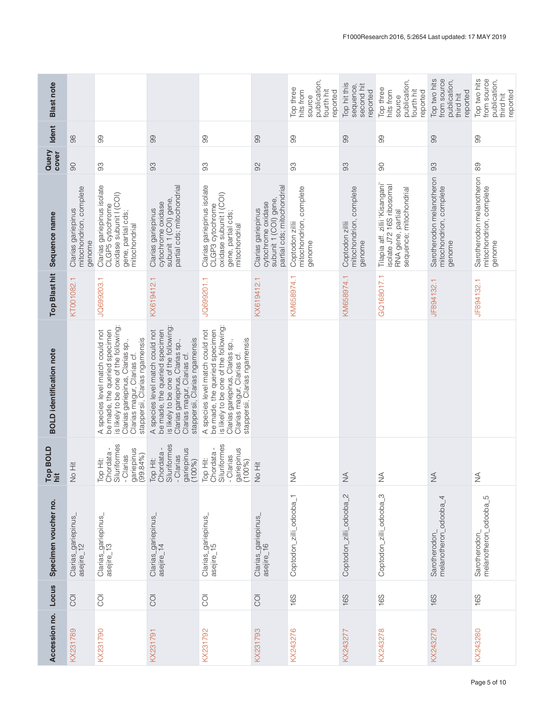| <b>Blast note</b>               |                                                         |                                                                                                                                                                                                             |                                                                                                                                                                                                              |                                                                                                                                                                                                             |                                                                                                | publication,<br>Top three<br>hits from<br>fourth hit<br>reported<br>source | Top hit this<br>second hit<br>sequence<br>reported   | publication,<br>Top three<br>hits from<br>fourth hit<br>reported<br>source                                   | Top two hits<br>from source<br>publication,<br>reported<br>third hit | Top two hits<br>from source<br>publication,<br>reported<br>third hit |
|---------------------------------|---------------------------------------------------------|-------------------------------------------------------------------------------------------------------------------------------------------------------------------------------------------------------------|--------------------------------------------------------------------------------------------------------------------------------------------------------------------------------------------------------------|-------------------------------------------------------------------------------------------------------------------------------------------------------------------------------------------------------------|------------------------------------------------------------------------------------------------|----------------------------------------------------------------------------|------------------------------------------------------|--------------------------------------------------------------------------------------------------------------|----------------------------------------------------------------------|----------------------------------------------------------------------|
| <b>Ident</b>                    | 88                                                      | 8                                                                                                                                                                                                           | 8                                                                                                                                                                                                            | 8                                                                                                                                                                                                           | 99                                                                                             | 8                                                                          | 8                                                    | 8                                                                                                            | 8                                                                    | 8                                                                    |
| Query<br>cover                  | $\infty$                                                | 93                                                                                                                                                                                                          | 93                                                                                                                                                                                                           | 93                                                                                                                                                                                                          | 92                                                                                             | 93                                                                         | 93                                                   | $\infty$                                                                                                     | 93                                                                   | 89                                                                   |
| Sequence name                   | mitochondrion, complete<br>Clarias gariepinus<br>genome | Clarias gariepinus isolate<br>CLGP5 cytochrome<br>oxidase subunit I (COI)<br>gene, partial cds;<br>mitochondrial                                                                                            | partial cds; mitochondrial<br>subunit 1 (COI) gene,<br>cytochrome oxidase<br>Clarias gariepinus                                                                                                              | Clarias gariepinus isolate<br>CLGP3 cytochrome<br>oxidase subunit I (COI)<br>gene, partial cds;<br>mitochondrial                                                                                            | partial cds; mitochondrial<br>subunit 1 (COI) gene<br>cytochrome oxidase<br>Clarias gariepinus | mitochondrion, complete<br>Coptodon zillii<br>genome                       | mitochondrion, complete<br>Coptodon zillii<br>genome | Tilapia aff. zillii 'Kisangani'<br>isolate J72 16S ribosomal<br>sequence; mitochondrial<br>RNA gene, partial | Sarotherodon melanotheron<br>mitochondrion, complete<br>genome       | Sarotherodon melanotheron<br>mitochondrion, complete<br>genome       |
| <b>Top Blast hit</b>            | KT001082.1                                              | JQ699203.1                                                                                                                                                                                                  | KX619412.1                                                                                                                                                                                                   | JQ699201.1                                                                                                                                                                                                  | KX619412.1                                                                                     | KM658974.1                                                                 | KM658974.1                                           | GQ168017.1                                                                                                   | JF894132.1                                                           | JF894132.1                                                           |
| <b>BOLD</b> identification note |                                                         | is likely to be one of the following<br>A species level match could not<br>be made, the queried specimen<br>stappersii, Clarias ngamensis<br>Clarias gariepinus, Clarias sp.,<br>Clarias magur, Clarias cf. | is likely to be one of the following:<br>be made, the queried specimen<br>A species level match could not<br>stappersii, Clarias ngamensis<br>Clarias gariepinus, Clarias sp.,<br>Clarias magur, Clarias cf. | is likely to be one of the following<br>be made, the queried specimen<br>A species level match could not<br>Clarias magur, Clarias cf.<br>stappersii, Clarias ngamensis<br>Clarias gariepinus, Clarias sp., |                                                                                                |                                                                            |                                                      |                                                                                                              |                                                                      |                                                                      |
| Top BOLD<br>1it                 | 三<br>No Hit                                             | Siluriformes<br>gariepinus<br>(99.84%)<br>Top Hit:<br>Chordata -<br>- Clarias                                                                                                                               | Top Hit:<br>Chordata -<br>Siluriformes<br>- Clarias<br>gariepinus<br>(100%)                                                                                                                                  | Chordata -<br>Siluriformes<br>gariepinus<br>(100%)<br>Clarias<br>Top Hit:                                                                                                                                   | 上<br>10<br>1                                                                                   | $\widetilde{\geq}$                                                         | $\lessgtr$                                           | $\frac{1}{2}$                                                                                                | $\frac{4}{2}$                                                        | $\lessgtr$                                                           |
| Specimen voucher no.            | Clarias_gariepinus_<br>asejire_12                       | Clarias_gariepinus_<br>asejire_13                                                                                                                                                                           | Clarias_gariepinus_<br>asejire_14                                                                                                                                                                            | Clarias_gariepinus <sub>_</sub><br>asejire_15                                                                                                                                                               | Clarias_gariepinus_<br>asejire_16                                                              | Coptodon_zilli_odooba_1                                                    | Coptodon_zilli_odooba_2                              | Coptodon_zilli_odooba_3                                                                                      | melanotheron_odooba_4<br>Sarotherodon_                               | Sarotherodon_<br>melanotheron_odooba_5                               |
| Locus                           | $\overline{O}$                                          | $\overline{\text{C}}$                                                                                                                                                                                       | $\overline{O}$                                                                                                                                                                                               | $\overline{O}$                                                                                                                                                                                              | $\overline{O}$                                                                                 | 16S                                                                        | 16S                                                  | 16S                                                                                                          | 16S                                                                  | 16S                                                                  |
| Accession no.                   | KX231789                                                | KX231790                                                                                                                                                                                                    | KX231791                                                                                                                                                                                                     | KX231792                                                                                                                                                                                                    | KX231793                                                                                       | KX243276                                                                   | KX243277                                             | KX243278                                                                                                     | KX243279                                                             | KX243280                                                             |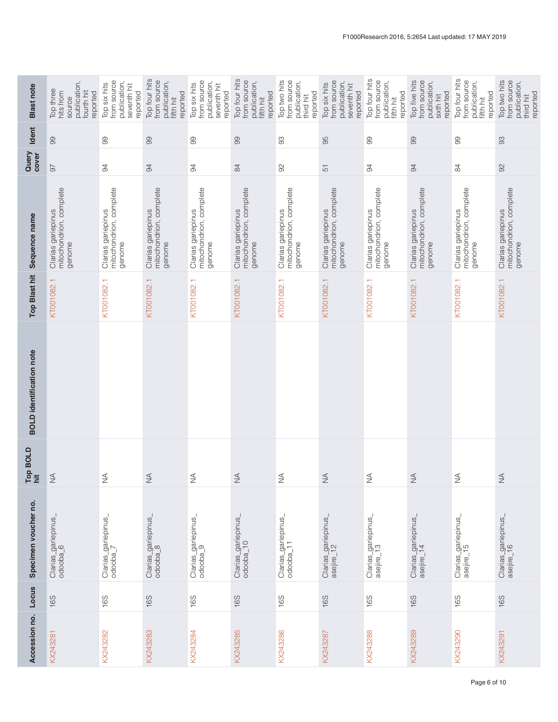| source<br>publication,<br>Top three<br>hits from<br>fourth hit<br>reported | from source<br>publication,<br>Top six hits<br>seventh hit<br>reported | Top four hits<br>from source<br>publication,<br>reported<br>fifth hit | from source<br>publication,<br>Top six hits<br>seventh hit<br>reported | Top four hits<br>from source<br>publication,<br>reported<br>fifth hit | Top two hits<br>from source<br>publication,<br>reported<br>third hit | from source<br>publication,<br>Top six hits<br>seventh hit<br>reported | Top four hits<br>from source<br>publication,<br>reported<br>fifth hit | Top five hits<br>from source<br>publication,<br>reported<br>sixth hit | Top four hits<br>from source<br>publication,<br>reported<br>fifth hit | from source<br>Top two hits<br>publication,<br>reported<br>third hit |
|----------------------------------------------------------------------------|------------------------------------------------------------------------|-----------------------------------------------------------------------|------------------------------------------------------------------------|-----------------------------------------------------------------------|----------------------------------------------------------------------|------------------------------------------------------------------------|-----------------------------------------------------------------------|-----------------------------------------------------------------------|-----------------------------------------------------------------------|----------------------------------------------------------------------|
| 99                                                                         | 99                                                                     | 99                                                                    | 99                                                                     | 99                                                                    | 83                                                                   | 95                                                                     | 99                                                                    | 99                                                                    | 99                                                                    | 93                                                                   |
| 67                                                                         | 94                                                                     | 94                                                                    | 94                                                                     | 84                                                                    | 92                                                                   | 51                                                                     | 94                                                                    | 94                                                                    | 84                                                                    | $\infty$                                                             |
| mitochondrion, complete<br>Clarias gariepinus<br>genome                    | mitochondrion, complete<br>Clarias gariepinus<br>genome                | mitochondrion, complete<br>Clarias gariepinus<br>genome               | mitochondrion, complete<br>Clarias gariepinus<br>genome                | mitochondrion, complete<br>Clarias gariepinus<br>genome               | mitochondrion, complete<br>Clarias gariepinus<br>genome              | mitochondrion, complete<br>Clarias gariepinus<br>genome                | Clarias gariepinus<br>mitochondrion, complete<br>genome               | mitochondrion, complete<br>Clarias gariepinus<br>genome               | mitochondrion, complete<br>Clarias gariepinus<br>genome               | mitochondrion, complete<br>Clarias gariepinus<br>genome              |
| KT001082.1                                                                 | KT001082.1                                                             | KT001082.1                                                            | KT001082.1                                                             | KT001082.1                                                            | KT001082.1                                                           | KT001082.1                                                             | KT001082.1                                                            | KT001082.1                                                            | KT001082.1                                                            | KT001082.1                                                           |
|                                                                            |                                                                        |                                                                       |                                                                        |                                                                       |                                                                      |                                                                        |                                                                       |                                                                       |                                                                       |                                                                      |
| $\frac{4}{2}$                                                              | $\frac{1}{2}$                                                          | $\frac{4}{2}$                                                         | $\frac{4}{2}$                                                          | $\stackrel{\triangle}{\geq}$                                          | $\stackrel{\triangle}{\geq}$                                         | $\frac{4}{2}$                                                          | $\frac{4}{2}$                                                         | $\stackrel{\triangleleft}{\geq}$                                      | $\frac{1}{2}$                                                         | $\stackrel{\triangleleft}{\geq}$                                     |
| Clarias_gariepinus <sub>.</sub><br>odooba_6                                | Clarias_gariepinus_<br>odooba_7                                        | Clarias_gariepinus_<br>odooba_8                                       | Clarias_gariepinus_<br>odooba_9                                        | Clarias_gariepinus_<br>odooba_10                                      | Clarias_gariepinus_<br>odooba_11                                     | Clarias_gariepinus_<br>asejire_12                                      | Clarias_gariepinus_<br>asejire_13                                     | Clarias_gariepinus_<br>asejire_14                                     | Clarias_gariepinus <sub>.</sub><br>asejire_15                         | Clarias_gariepinus_<br>asejire_16                                    |
| 16S                                                                        | 16S                                                                    | 16S                                                                   | 16S                                                                    | 16S                                                                   | 16S                                                                  | 16S                                                                    | 16S                                                                   | 16S                                                                   | 16S                                                                   | 16S                                                                  |
| KX243281                                                                   | KX243282                                                               | KX243283                                                              | KX243284                                                               | KX243285                                                              | KX243286                                                             | KX243287                                                               | KX243288                                                              | KX243289                                                              | KX243290                                                              | KX243291                                                             |
|                                                                            |                                                                        |                                                                       |                                                                        |                                                                       |                                                                      |                                                                        |                                                                       |                                                                       |                                                                       |                                                                      |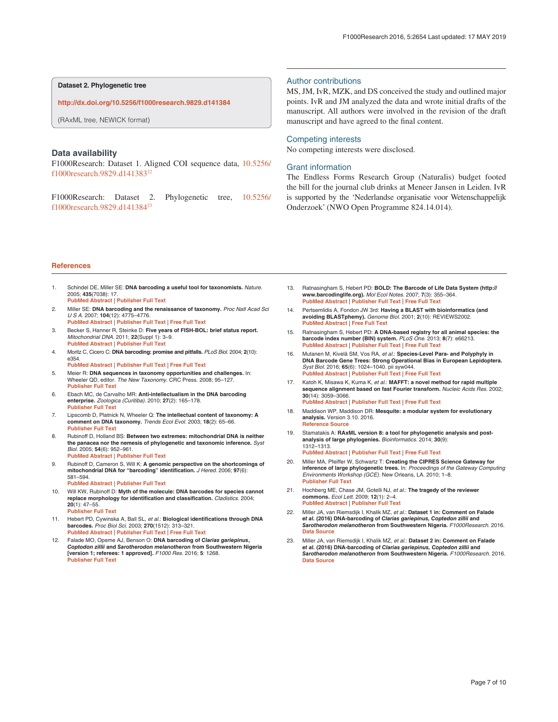<span id="page-6-0"></span>**Dataset 2. Phylogenetic tree**

**<http://dx.doi.org/10.5256/f1000research.9829.d141384>**

(RAxML tree, NEWICK format)

#### **Data availability**

F1000Research: Dataset 1. Aligned COI sequence data, [10.5256/](http://dx.doi.org/10.5256/f1000research.9829.d141383) [f1000research.9829.d1413832](http://dx.doi.org/10.5256/f1000research.9829.d141383)2

F1000Research: Dataset 2. Phylogenetic tree, [10.5256/](http://dx.doi.org/10.5256/f1000research.9829.d141384) [f1000research.9829.d1413842](http://dx.doi.org/10.5256/f1000research.9829.d141384)3

#### Author contributions

MS, JM, IvR, MZK, and DS conceived the study and outlined major points. IvR and JM analyzed the data and wrote initial drafts of the manuscript. All authors were involved in the revision of the draft manuscript and have agreed to the final content.

#### Competing interests

No competing interests were disclosed.

#### Grant information

The Endless Forms Research Group (Naturalis) budget footed the bill for the journal club drinks at Meneer Jansen in Leiden. IvR is supported by the 'Nederlandse organisatie voor Wetenschappelijk Onderzoek' (NWO Open Programme 824.14.014).

#### **References**

- 1. Schindel DE, Miller SE: **DNA barcoding a useful tool for taxonomists.** Nature. 2005; **435**(7038): 17. **[PubMed Abstract](http://www.ncbi.nlm.nih.gov/pubmed/15874991)** | **[Publisher Full Text](http://dx.doi.org/10.1038/435017b)**
- 2. Miller SE: **DNA barcoding and the renaissance of taxonomy.** Proc Natl Acad Sci U S A. 2007; **104**(12): 4775–4776. **[PubMed Abstract](http://www.ncbi.nlm.nih.gov/pubmed/17363473)** | **[Publisher Full Text](http://dx.doi.org/10.1073/pnas.0700466104)** | **[Free Full Text](http://www.ncbi.nlm.nih.gov/pmc/articles/1829212)**
- 3. Becker S, Hanner R, Steinke D: **Five years of FISH-BOL: brief status report.** Mitochondrial DNA. 2011; **22**(Suppl 1): 3–9. **[PubMed Abstract](http://www.ncbi.nlm.nih.gov/pubmed/21271850)** | **[Publisher Full Text](http://dx.doi.org/10.3109/19401736.2010.535528)**
- 4. Moritz C, Cicero C: **DNA barcoding: promise and pitfalls.** PLoS Biol. 2004; **2**(10): e354. **[PubMed Abstract](http://www.ncbi.nlm.nih.gov/pubmed/15486587)** | **[Publisher Full Text](http://dx.doi.org/10.1371/journal.pbio.0020354)** | **[Free Full Text](http://www.ncbi.nlm.nih.gov/pmc/articles/519004)**
- 5. Meier R: **DNA sequences in taxonomy opportunities and challenges.** In: Wheeler QD, editor. The New Taxonomy. CRC Press. 2008; 95–127. **[Publisher Full Text](http://dx.doi.org/10.1201/9781420008562.ch7)**
- 6. Ebach MC, de Carvalho MR: **Anti-intellectualism in the DNA barcoding enterprise.** Zoologica (Curitiba). 2010; **27**(2): 165–178. **[Publisher Full Text](http://dx.doi.org/10.1590/S1984-46702010000200003)**
- 7. Lipscomb D, Platnick N, Wheeler Q: **The intellectual content of taxonomy: A comment on DNA taxonomy.** Trends Ecol Evol. 2003; **18**(2): 65–66. **[Publisher Full Text](http://dx.doi.org/10.1016/S0169-5347(02)00060-5)**
- 8. Rubinoff D, Holland BS: **Between two extremes: mitochondrial DNA is neither the panacea nor the nemesis of phylogenetic and taxonomic inference.** Syst Biol. 2005; **54**(6): 952–961. **[PubMed Abstract](http://www.ncbi.nlm.nih.gov/pubmed/16385775)** | **[Publisher Full Text](http://dx.doi.org/10.1080/10635150500234674)**
- 9. Rubinoff D, Cameron S, Will K: **A genomic perspective on the shortcomings of mitochondrial DNA for "barcoding" identification.** J Hered. 2006; **97**(6): 581–594.
	- **[PubMed Abstract](http://www.ncbi.nlm.nih.gov/pubmed/17135463)** | **[Publisher Full Text](http://dx.doi.org/10.1093/jhered/esl036)**
- 10. Will KW, Rubinoff D: **Myth of the molecule: DNA barcodes for species cannot replace morphology for identification and classification.** Cladistics. 2004; **20**(1): 47–55. **[Publisher Full Text](http://dx.doi.org/10.1111/j.1096-0031.2003.00008.x)**
- 11. Hebert PD, Cywinska A, Ball SL, et al.: **Biological identifications through DNA barcodes.** Proc Biol Sci. 2003; **270**(1512): 313–321. **[PubMed Abstract](http://www.ncbi.nlm.nih.gov/pubmed/12614582)** | **[Publisher Full Text](http://dx.doi.org/10.1098/rspb.2002.2218)** | **[Free Full Text](http://www.ncbi.nlm.nih.gov/pmc/articles/1691236)**
- 12. Falade MO, Opeme AJ, Benson O: **DNA barcoding of** *Clarias gariepinus***,**  *Coptodon zillii* **and** *Sarotherodon melanotheron* **from Southwestern Nigeria [version 1; referees: 1 approved].** F1000 Res. 2016; **5**: 1268. **[Publisher Full Text](http://dx.doi.org/10.12688/f1000research.7895.1)**
- 13. Ratnasingham S, Hebert PD: **BOLD: The Barcode of Life Data System (http:// www.barcodinglife.org).** Mol Ecol Notes. 2007; **7**(3): 355–364. **[PubMed Abstract](http://www.ncbi.nlm.nih.gov/pubmed/18784790)** | **[Publisher Full Text](http://dx.doi.org/10.1111/j.1471-8286.2007.01678.x)** | **[Free Full Text](http://www.ncbi.nlm.nih.gov/pmc/articles/1890991)**
- 14. Pertsemlidis A, Fondon JW 3rd: **Having a BLAST with bioinformatics (and avoiding BLASTphemy).** Genome Biol. 2001; **2**(10): REVIEWS2002. **[PubMed Abstract](http://www.ncbi.nlm.nih.gov/pubmed/11597340)** | **[Free Full Text](http://www.ncbi.nlm.nih.gov/pmc/articles/138974)**
- 15. Ratnasingham S, Hebert PD: **A DNA-based registry for all animal species: the barcode index number (BIN) system.** PLoS One. 2013; **8**(7): e66213. **[PubMed Abstract](http://www.ncbi.nlm.nih.gov/pubmed/23861743)** | **[Publisher Full Text](http://dx.doi.org/10.1371/journal.pone.0066213)** | **[Free Full Text](http://www.ncbi.nlm.nih.gov/pmc/articles/3704603)**
- 16. Mutanen M, Kivelä SM, Vos RA, et al.: **Species-Level Para- and Polyphyly in DNA Barcode Gene Trees: Strong Operational Bias in European Lepidoptera.** Syst Biol. 2016; **65**(6): 1024–1040. pii syw044. **[PubMed Abstract](http://www.ncbi.nlm.nih.gov/pubmed/27288478)** | **[Publisher Full Text](http://dx.doi.org/10.1093/sysbio/syw044)** | **[Free Full Text](http://www.ncbi.nlm.nih.gov/pmc/articles/5066064)**
- Katoh K, Misawa K, Kuma K, et al.: MAFFT: a novel method for rapid multiple **sequence alignment based on fast Fourier transform.** Nucleic Acids Res. 2002; **30**(14): 3059–3066. **[PubMed Abstract](http://www.ncbi.nlm.nih.gov/pubmed/12136088)** | **[Publisher Full Text](http://dx.doi.org/10.1093/nar/gkf436)** | **[Free Full Text](http://www.ncbi.nlm.nih.gov/pmc/articles/135756)**
- 18. Maddison WP, Maddison DR: **Mesquite: a modular system for evolutionary analysis.** Version 3.10. 2016. **[Reference Source](http://mesquiteproject.org)**
- 19. Stamatakis A: **RAxML version 8: a tool for phylogenetic analysis and postanalysis of large phylogenies.** Bioinformatics. 2014; **30**(9): 1312–1313. **[PubMed Abstract](http://www.ncbi.nlm.nih.gov/pubmed/24451623)** | **[Publisher Full Text](http://dx.doi.org/10.1093/bioinformatics/btu033)** | **[Free Full Text](http://www.ncbi.nlm.nih.gov/pmc/articles/3998144)**
- 20. Miller MA, Pfeiffer W, Schwartz T: **Creating the CIPRES Science Gateway for inference of large phylogenetic trees.** In: Proceedings of the Gateway Computing Environments Workshop (GCE). New Orleans, LA. 2010; 1–8. **[Publisher Full Text](http://dx.doi.org/10.1109/GCE.2010.5676129)**
- 21. Hochberg ME, Chase JM, Gotelli NJ, et al.: **The tragedy of the reviewer commons.** Ecol Lett. 2009; **12**(1): 2–4. **[PubMed Abstract](http://www.ncbi.nlm.nih.gov/pubmed/19087107)** | **[Publisher Full Text](http://dx.doi.org/10.1111/j.1461-0248.2008.01276.x)**
- 22. Miller JA, van Riemsdijk I, Khalik MZ, et al.: **Dataset 1 in: Comment on Falade**  *et al.* **(2016) DNA-barcoding of** *Clarias gariepinus, Coptedon zillii* **and**  *Sarotherodon melanotheron* **from Southwestern Nigeria.** F1000Research. 2016. **[Data Source](http://dx.doi.org/10.5256/f1000research.9829.d141383)**
- 23. Miller JA, van Riemsdijk I, Khalik MZ, et al.: **Dataset 2 in: Comment on Falade**  *et al.* **(2016) DNA-barcoding of** *Clarias gariepinus, Coptedon zillii* **and**  *Sarotherodon melanotheron* **from Southwestern Nigeria.** F1000Research. 2016. **[Data Source](http://dx.doi.org/10.5256/f1000research.9829.d141384)**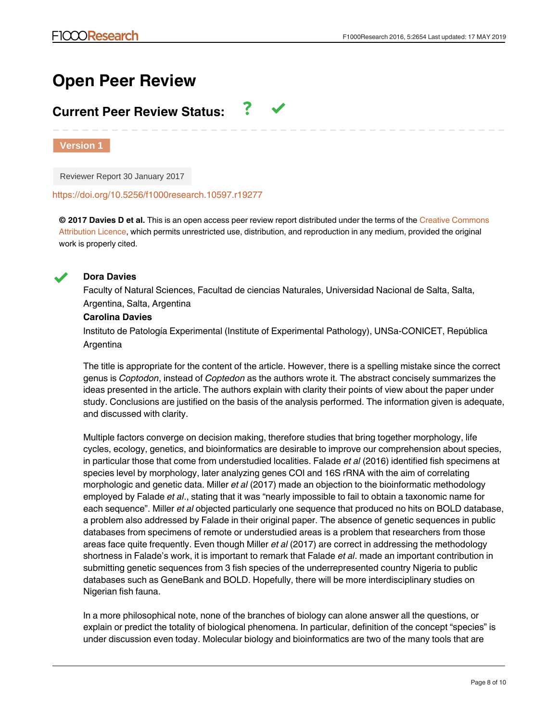## **Open Peer Review**

## **Current Peer Review Status:**

**Version 1**

Reviewer Report 30 January 2017

<https://doi.org/10.5256/f1000research.10597.r19277>

**© 2017 Davies D et al.** This is an open access peer review report distributed under the terms of the [Creative Commons](https://creativecommons.org/licenses/by/4.0/) [Attribution Licence](https://creativecommons.org/licenses/by/4.0/), which permits unrestricted use, distribution, and reproduction in any medium, provided the original work is properly cited.

7



## **Dora Davies**

Faculty of Natural Sciences, Facultad de ciencias Naturales, Universidad Nacional de Salta, Salta, Argentina, Salta, Argentina

## **Carolina Davies**

Instituto de Patología Experimental (Institute of Experimental Pathology), UNSa-CONICET, República Argentina

The title is appropriate for the content of the article. However, there is a spelling mistake since the correct genus is *Coptodon*, instead of *Coptedon* as the authors wrote it*.* The abstract concisely summarizes the ideas presented in the article. The authors explain with clarity their points of view about the paper under study. Conclusions are justified on the basis of the analysis performed. The information given is adequate, and discussed with clarity.

Multiple factors converge on decision making, therefore studies that bring together morphology, life cycles, ecology, genetics, and bioinformatics are desirable to improve our comprehension about species, in particular those that come from understudied localities. Falade *et al* (2016) identified fish specimens at species level by morphology, later analyzing genes COI and 16S rRNA with the aim of correlating morphologic and genetic data. Miller *et al* (2017) made an objection to the bioinformatic methodology employed by Falade *et al*., stating that it was "nearly impossible to fail to obtain a taxonomic name for each sequence". Miller *et al* objected particularly one sequence that produced no hits on BOLD database, a problem also addressed by Falade in their original paper. The absence of genetic sequences in public databases from specimens of remote or understudied areas is a problem that researchers from those areas face quite frequently. Even though Miller *et al* (2017) are correct in addressing the methodology shortness in Falade's work, it is important to remark that Falade *et al*. made an important contribution in submitting genetic sequences from 3 fish species of the underrepresented country Nigeria to public databases such as GeneBank and BOLD. Hopefully, there will be more interdisciplinary studies on Nigerian fish fauna.

In a more philosophical note, none of the branches of biology can alone answer all the questions, or explain or predict the totality of biological phenomena. In particular, definition of the concept "species" is under discussion even today. Molecular biology and bioinformatics are two of the many tools that are

available to elucidate the boundaries between 2 species. For example, to what extent a similar is  $\alpha$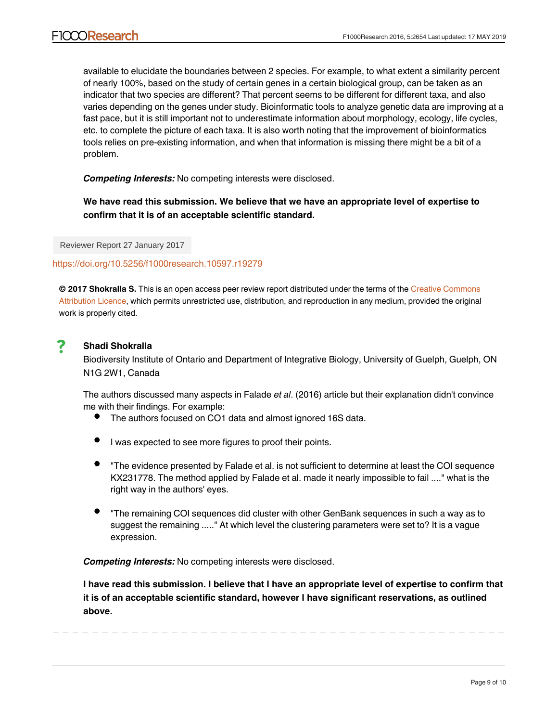available to elucidate the boundaries between 2 species. For example, to what extent a similarity percent of nearly 100%, based on the study of certain genes in a certain biological group, can be taken as an indicator that two species are different? That percent seems to be different for different taxa, and also varies depending on the genes under study. Bioinformatic tools to analyze genetic data are improving at a fast pace, but it is still important not to underestimate information about morphology, ecology, life cycles, etc. to complete the picture of each taxa. It is also worth noting that the improvement of bioinformatics tools relies on pre-existing information, and when that information is missing there might be a bit of a problem.

*Competing Interests:* No competing interests were disclosed.

**We have read this submission. We believe that we have an appropriate level of expertise to confirm that it is of an acceptable scientific standard.**

Reviewer Report 27 January 2017

## <https://doi.org/10.5256/f1000research.10597.r19279>

**© 2017 Shokralla S.** This is an open access peer review report distributed under the terms of the [Creative Commons](https://creativecommons.org/licenses/by/4.0/) [Attribution Licence](https://creativecommons.org/licenses/by/4.0/), which permits unrestricted use, distribution, and reproduction in any medium, provided the original work is properly cited.

#### 7 **Shadi Shokralla**

Biodiversity Institute of Ontario and Department of Integrative Biology, University of Guelph, Guelph, ON N1G 2W1, Canada

The authors discussed many aspects in Falade *et al*. (2016) article but their explanation didn't convince me with their findings. For example:

- The authors focused on CO1 data and almost ignored 16S data.
- I was expected to see more figures to proof their points.
- "The evidence presented by Falade et al. is not sufficient to determine at least the COI sequence KX231778. The method applied by Falade et al. made it nearly impossible to fail ...." what is the right way in the authors' eyes.
- "The remaining COI sequences did cluster with other GenBank sequences in such a way as to suggest the remaining ....." At which level the clustering parameters were set to? It is a vague expression.

*Competing Interests:* No competing interests were disclosed.

**I have read this submission. I believe that I have an appropriate level of expertise to confirm that it is of an acceptable scientific standard, however I have significant reservations, as outlined above.**